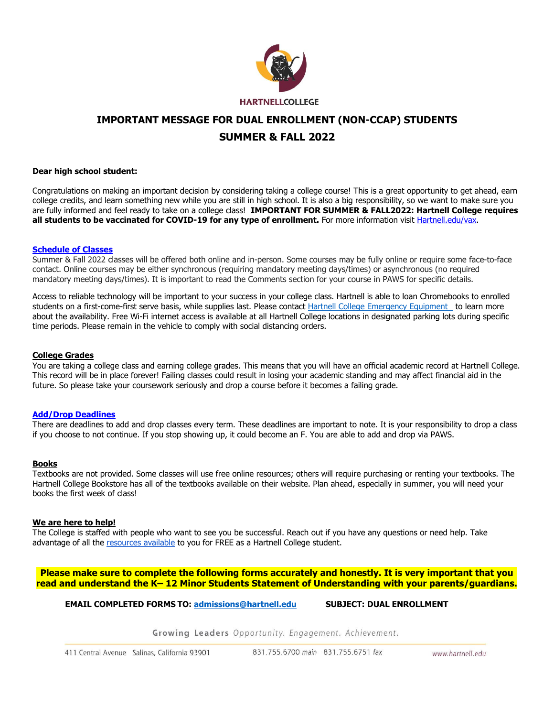

# **IMPORTANT MESSAGE FOR DUAL ENROLLMENT (NON-CCAP) STUDENTS SUMMER & FALL 2022**

### **Dear high school student:**

Congratulations on making an important decision by considering taking a college course! This is a great opportunity to get ahead, earn college credits, and learn something new while you are still in high school. It is also a big responsibility, so we want to make sure you are fully informed and feel ready to take on a college class! **IMPORTANT FOR SUMMER & FALL2022: Hartnell College requires**  all students to be vaccinated for COVID-19 for any type of enrollment. For more information visit Hartnell.edu/vax.

#### **Schedule of Classes**

Summer & Fall 2022 classes will be offered both online and in-person. Some courses may be fully online or require some face-to-face contact. Online courses may be either synchronous (requiring mandatory meeting days/times) or asynchronous (no required mandatory meeting days/times). It is important to read the Comments section for your course in PAWS for specific details.

Access to reliable technology will be important to your success in your college class. Hartnell is able to loan Chromebooks to enrolled students on a first-come-first serve basis, while supplies last. Please contact Hartnell College Emergency Equipment to learn more about the availability. Free Wi-Fi internet access is available at all Hartnell College locations in designated parking lots during specific time periods. Please remain in the vehicle to comply with social distancing orders.

## **College Grades**

You are taking a college class and earning college grades. This means that you will have an official academic record at Hartnell College. This record will be in place forever! Failing classes could result in losing your academic standing and may affect financial aid in the future. So please take your coursework seriously and drop a course before it becomes a failing grade.

#### **Add/Drop Deadlines**

There are deadlines to add and drop classes every term. These deadlines are important to note. It is your responsibility to drop a class if you choose to not continue. If you stop showing up, it could become an F. You are able to add and drop via PAWS.

#### **Books**

Textbooks are not provided. Some classes will use free online resources; others will require purchasing or renting your textbooks. The Hartnell College Bookstore has all of the textbooks available on their website. Plan ahead, especially in summer, you will need your books the first week of class!

#### **We are here to help!**

The College is staffed with people who want to see you be successful. Reach out if you have any questions or need help. Take advantage of all the resources available to you for FREE as a Hartnell College student.

**Please make sure to complete the following forms accurately and honestly. It is very important that you read and understand the K– 12 Minor Students Statement of Understanding with your parents/guardians.** 

**EMAIL COMPLETED FORMS TO: admissions@hartnell.edu SUBJECT: DUAL ENROLLMENT** 

Growing Leaders Opportunity. Engagement. Achievement.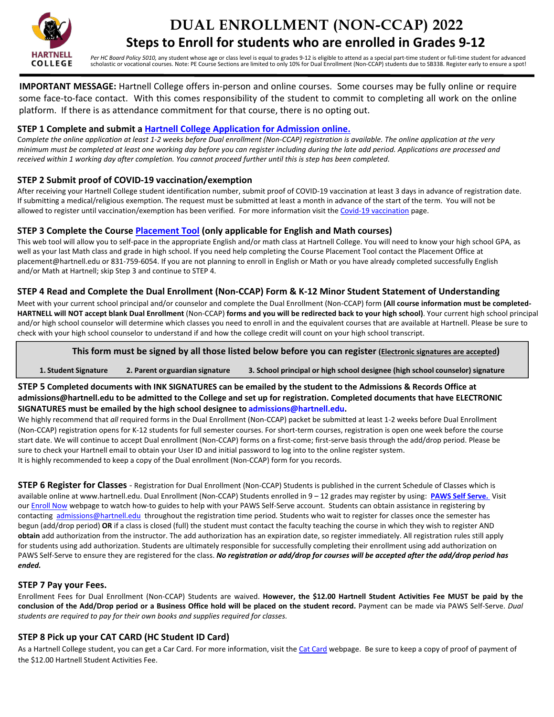

# **DUAL ENROLLMENT (NON-CCAP) 2022 Steps to Enroll for students who are enrolled in Grades 9‐12**

*Per HC Board Policy 5010,* any student whose age or class level is equal to grades 9‐12 is eligible to attend as a special part‐time student or full‐time student for advanced scholastic or vocational courses. Note: PE Course Sections are limited to only 10% for Dual Enrollment (Non‐CCAP) students due to SB338. Register early to ensure a spot!

**IMPORTANT MESSAGE:** Hartnell College offers in‐person and online courses. Some courses may be fully online or require some face-to-face contact. With this comes responsibility of the student to commit to completing all work on the online platform. If there is as attendance commitment for that course, there is no opting out.

# **STEP 1 Complete and submit a Hartnell College Application for Admission online.**

C*omplete the online application at least 1‐2 weeks before Dual enrollment (Non‐CCAP) registration is available. The online application at the very minimum must be completed at least one working day before you can register including during the late add period. Applications are processed and received within 1 working day after completion. You cannot proceed further until this is step has been completed*.

# **STEP 2 Submit proof of COVID‐19 vaccination/exemption**

After receiving your Hartnell College student identification number, submit proof of COVID-19 vaccination at least 3 days in advance of registration date. If submitting a medical/religious exemption. The request must be submitted at least a month in advance of the start of the term. You will not be allowed to register until vaccination/exemption has been verified. For more information visit the Covid‐19 vaccination page.

# **STEP 3 Complete the Course Placement Tool (only applicable for English and Math courses)**

This web tool will allow you to self‐pace in the appropriate English and/or math class at Hartnell College. You will need to know your high school GPA, as well as your last Math class and grade in high school. If you need help completing the Course Placement Tool contact the Placement Office at placement@hartnell.edu or 831‐759‐6054. If you are not planning to enroll in English or Math or you have already completed successfully English and/or Math at Hartnell; skip Step 3 and continue to STEP 4.

# **STEP 4 Read and Complete the Dual Enrollment (Non‐CCAP) Form & K‐12 Minor Student Statement of Understanding**

Meet with your current school principal and/or counselor and complete the Dual Enrollment (Non‐CCAP) form **(All course information must be completed‐ HARTNELL will NOT accept blank Dual Enrollment** (Non‐CCAP) **forms and you will be redirected back to your high school)**. Your current high school principal and/or high school counselor will determine which classes you need to enroll in and the equivalent courses that are available at Hartnell. Please be sure to check with your high school counselor to understand if and how the college credit will count on your high school transcript.

# **This form must be signed by all those listed below before you can register (Electronic signatures are accepted)**

**1. Student Signature 2. Parent or guardian signature 3. School principal or high school designee (high school counselor) signature** 

## **STEP 5 Completed documents with INK SIGNATURES can be emailed by the student to the Admissions & Records Office at admissions@hartnell.edu to be admitted to the College and set up for registration. Completed documents that have ELECTRONIC SIGNATURES must be emailed by the high school designee to admissions@hartnell.edu.**

We highly recommend that *all required forms in the Dual Enrollment* (Non-CCAP) packet be submitted at least 1-2 weeks before Dual Enrollment (Non‐CCAP) registration opens for K‐12 students for full semester courses. For short‐term courses, registration is open one week before the course start date. We will continue to accept Dual enrollment (Non‐CCAP) forms on a first‐come; first‐serve basis through the add/drop period. Please be sure to check your Hartnell email to obtain your User ID and initial password to log into to the online register system. It is highly recommended to keep a copy of the Dual enrollment (Non-CCAP) form for you records.

**STEP 6 Register for Classes** - Registration for Dual Enrollment (Non-CCAP) Students is published in the current Schedule of Classes which is available online at www.hartnell.edu. Dual Enrollment (Non‐CCAP) Students enrolled in 9 – 12 grades may register by using: **PAWS Self Serve.**  Visit our Enroll Now webpage to watch how-to guides to help with your PAWS Self-Serve account. Students can obtain assistance in registering by contacting admissions@hartnell.edu throughout the registration time period*.* Students who wait to register for classes once the semester has begun (add/drop period) **OR** if a class is closed (full) the student must contact the faculty teaching the course in which they wish to register AND **obtain** add authorization from the instructor. The add authorization has an expiration date, so register immediately. All registration rules still apply for students using add authorization. Students are ultimately responsible for successfully completing their enrollment using add authorization on PAWS Self-Serve to ensure they are registered for the class. *No registration or add/drop for courses will be accepted after the add/drop period has ended.*

# **STEP 7 Pay your Fees.**

Enrollment Fees for Dual Enrollment (Non-CCAP) Students are waived. However, the \$12.00 Hartnell Student Activities Fee MUST be paid by the conclusion of the Add/Drop period or a Business Office hold will be placed on the student record. Payment can be made via PAWS Self-Serve. *Dual students are required to pay for their own books and supplies required for classes.* 

# **STEP 8 Pick up your CAT CARD (HC Student ID Card)**

As a Hartnell College student, you can get a Car Card. For more information, visit the Cat Card webpage. Be sure to keep a copy of proof of payment of the \$12.00 Hartnell Student Activities Fee.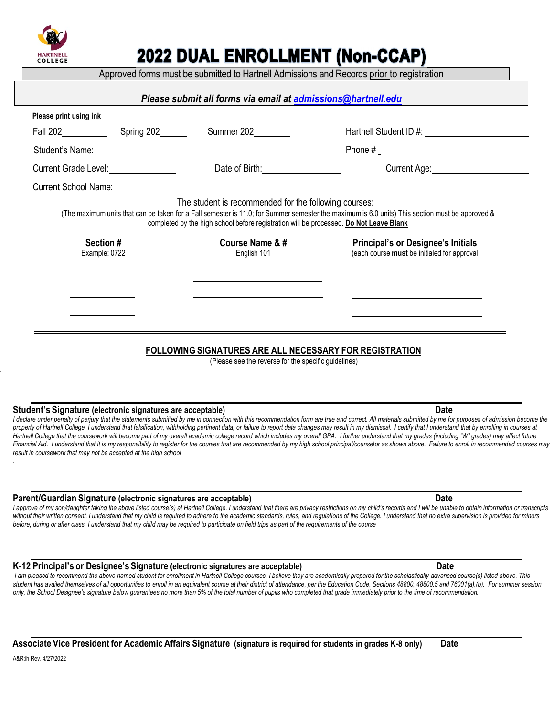

# 2022 DUAL ENROLLMENT (Non-CCAP)

Approved forms must be submitted to Hartnell Admissions and Records prior to registration

| Please print using ink                       |                                                                                                                                                 |                                                                                                                                                 |
|----------------------------------------------|-------------------------------------------------------------------------------------------------------------------------------------------------|-------------------------------------------------------------------------------------------------------------------------------------------------|
|                                              | Summer 202________                                                                                                                              |                                                                                                                                                 |
|                                              |                                                                                                                                                 |                                                                                                                                                 |
| Current Grade Level: <u>________________</u> | Date of Birth: <u>________________________</u>                                                                                                  | Current Age: ________________________                                                                                                           |
|                                              |                                                                                                                                                 |                                                                                                                                                 |
|                                              | The student is recommended for the following courses:<br>completed by the high school before registration will be processed. Do Not Leave Blank | (The maximum units that can be taken for a Fall semester is 11.0; for Summer semester the maximum is 6.0 units) This section must be approved & |
| Section #                                    | Course Name & #                                                                                                                                 | <b>Principal's or Designee's Initials</b>                                                                                                       |
| Example: 0722                                | English 101                                                                                                                                     | (each course <b>must</b> be initialed for approval                                                                                              |
|                                              |                                                                                                                                                 |                                                                                                                                                 |
|                                              |                                                                                                                                                 |                                                                                                                                                 |

# **FOLLOWING SIGNATURES ARE ALL NECESSARY FOR REGISTRATION**

(Please see the reverse for the specific guidelines)

## **Student's Signature (electronic signatures are acceptable) Date**

I declare under penalty of perjury that the statements submitted by me in connection with this recommendation form are true and correct. All materials submitted by me for purposes of admission become the property of Hartnell College. I understand that falsification, withholding pertinent data, or failure to report data changes may result in my dismissal. I certify that I understand that by enrolling in courses at .<br>Hartnell College that the coursework will become part of my overall academic college record which includes my overall GPA. I further understand that my grades (including "W" grades) may affect future Financial Aid. I understand that it is my responsibility to register for the courses that are recommended by my high school principal/counselor as shown above. Failure to enroll in recommended courses may *result in coursework that may not be accepted at the high school*

## **Parent/Guardian Signature (electronic signatures are acceptable) Date**

I approve of my son/daughter taking the above listed course(s) at Hartnell College. I understand that there are privacy restrictions on my child's records and I will be unable to obtain information or transcripts without their written consent. I understand that my child is required to adhere to the academic standards, rules, and regulations of the College. I understand that no extra supervision is provided for minors *before, during or after class. I understand that my child may be required to participate on field trips as part of the requirements of the course*

# K-12 Principal's or Designee's Signature (electronic signatures are acceptable) **Date**

I am pleased to recommend the above-named student for enrollment in Hartnell College courses. I believe they are academically prepared for the scholastically advanced course(s) listed above. This student has availed themselves of all opportunities to enroll in an equivalent course at their district of attendance, per the Education Code, Sections 48800, 48800.5 and 76001(a),(b). For summer session *only, the School Designee's signature below guarantees no more than 5% of the total number of pupils who completed that grade immediately prior to the time of recommendation.* 

| Associate Vice President for Academic Affairs Signature (signature is required for students in grades K-8 only) | <b>Date</b> |
|-----------------------------------------------------------------------------------------------------------------|-------------|
| $APD-IRDMAD00$                                                                                                  |             |

*.*

*.*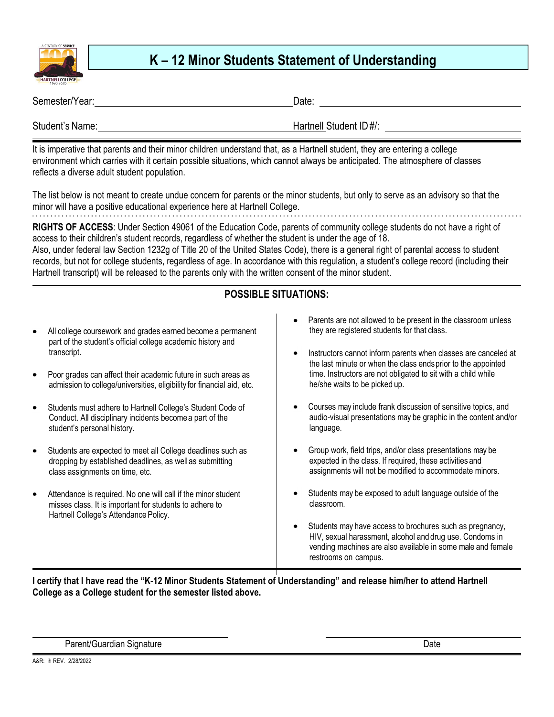

# **K – 12 Minor Students Statement of Understanding**

| Semester/Year:  | Date:                  |
|-----------------|------------------------|
| Student's Name: | Hartnell Student ID#/: |

It is imperative that parents and their minor children understand that, as a Hartnell student, they are entering a college environment which carries with it certain possible situations, which cannot always be anticipated. The atmosphere of classes reflects a diverse adult student population.

The list below is not meant to create undue concern for parents or the minor students, but only to serve as an advisory so that the minor will have a positive educational experience here at Hartnell College. 

**RIGHTS OF ACCESS**: Under Section 49061 of the Education Code, parents of community college students do not have a right of access to their children's student records, regardless of whether the student is under the age of 18. Also, under federal law Section 1232g of Title 20 of the United States Code), there is a general right of parental access to student records, but not for college students, regardless of age. In accordance with this regulation, a student's college record (including their Hartnell transcript) will be released to the parents only with the written consent of the minor student.

# **POSSIBLE SITUATIONS:**

- All college coursework and grades earned become a permanent part of the student's official college academic history and transcript.
- Poor grades can affect their academic future in such areas as admission to college/universities, eligibility for financial aid, etc.
- Students must adhere to Hartnell College's Student Code of Conduct. All disciplinary incidents become a part of the student's personal history.
- Students are expected to meet all College deadlines such as dropping by established deadlines, as well as submitting class assignments on time, etc.
- Attendance is required. No one will call if the minor student misses class. It is important for students to adhere to Hartnell College's Attendance Policy.
- Parents are not allowed to be present in the classroom unless they are registered students for that class.
- Instructors cannot inform parents when classes are canceled at the last minute or when the class ends prior to the appointed time. Instructors are not obligated to sit with a child while he/she waits to be picked up.
- Courses may include frank discussion of sensitive topics, and audio-visual presentations may be graphic in the content and/or language.
- Group work, field trips, and/or class presentations may be expected in the class. If required, these activities and assignments will not be modified to accommodate minors.
- Students may be exposed to adult language outside of the classroom.
- Students may have access to brochures such as pregnancy, HIV, sexual harassment, alcohol and drug use. Condoms in vending machines are also available in some male and female restrooms on campus.

**I certify that I have read the "K-12 Minor Students Statement of Understanding" and release him/her to attend Hartnell College as a College student for the semester listed above.** 

Parent/Guardian Signature **Date of Contract Contract Contract Contract Contract Contract Contract Contract Contract Contract Contract Contract Contract Contract Contract Contract Contract Contract Contract Contract Contrac**